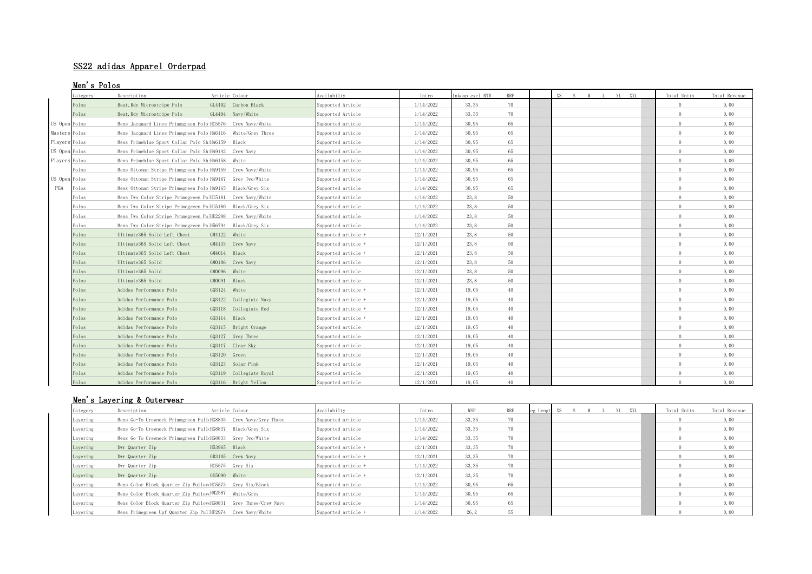# SS22 adidas Apparel Orderpad

# Men's Polos

|               | Category | Description                                                 | Article Colour          | vailabilty          | Intro     | Inkoop excl BTW | <b>RRP</b> | XS S M L XL XXL | Total Units | Total Revenue |
|---------------|----------|-------------------------------------------------------------|-------------------------|---------------------|-----------|-----------------|------------|-----------------|-------------|---------------|
| Polos         |          | Heat. Rdy Microstripe Polo                                  | GL4402 Carbon Black     | Supported Article   | 1/14/2022 | 33, 35          | 70         |                 | $\Omega$    | 0.00          |
| Polos         |          | Heat. Rdy Microstripe Polo                                  | GL4404 Navy/White       | Supported Article   | 1/14/2022 | 33, 35          | 70         |                 | $\Omega$    | 0,00          |
| US Open Polos |          | Mens Jacquard Lines Primegreen Polo HC5576 Crew Navy/White  |                         | Supported article   | 1/14/2022 | 30,95           | 65         |                 | $\Omega$    | 0,00          |
| Masters Polos |          | Mens Jacquard Lines Primegreen Polo HA6116 White/Grey Three |                         | Supported article   | 1/14/2022 | 30,95           | 65         |                 | $\Omega$    | 0,00          |
| Players Polos |          | Mens Primeblue Sport Collar Polo ShiHA6159 Black            |                         | Supported article   | 1/14/2022 | 30,95           | 65         |                 | $\cap$      | 0,00          |
| US Open Polos |          | Mens Primeblue Sport Collar Polo ShiHA9142 Crew Navy        |                         | Supported article   | 1/14/2022 | 30,95           | 65         |                 | $\Omega$    | 0,00          |
| Players Polos |          | Mens Primeblue Sport Collar Polo ShiHA6158 White            |                         | Supported article   | 1/14/2022 | 30,95           | 65         |                 | $\Omega$    | 0,00          |
| Polos         |          | Mens Ottoman Stripe Primegreen Polo HA9159 Crew Navy/White  |                         | Supported article   | 1/14/2022 | 30,95           | 65         |                 | $\Omega$    | 0,00          |
| US Open Polos |          | Mens Ottoman Stripe Primegreen Polo HA9167 Grey Two/White   |                         | Supported article   | 1/14/2022 | 30,95           | 65         |                 | $\Omega$    | 0,00          |
| PGA<br>Polos  |          | Mens Ottoman Stripe Primegreen Polo HA9165 Black/Grey Six   |                         | Supported article   | 1/14/2022 | 30,95           | 65         |                 | $\Omega$    | 0,00          |
| Polos         |          | Mens Two Color Stripe Primegreen PolHI5181 Crew Navy/White  |                         | Supported article   | 1/14/2022 | 23, 8           | 50         |                 | $\Omega$    | 0,00          |
| Polos         |          | Mens Two Color Stripe Primegreen PolHI5180 Black/Grey Six   |                         | Supported article   | 1/14/2022 | 23,8            | 50         |                 | $\Omega$    | 0,00          |
| Polos         |          | Mens Two Color Stripe Primegreen PolHE2298 Crew Navy/White  |                         | Supported article   | 1/14/2022 | 23.8            | 50         |                 | $\Omega$    | 0,00          |
| Polos         |          | Mens Two Color Stripe Primegreen PolH56794 Black/Grey Six   |                         | Supported article   | 1/14/2022 | 23, 8           | 50         |                 | $\Omega$    | 0,00          |
| Polos         |          | Ultimate365 Solid Left Chest                                | GM4122 White            | Supported article + | 12/1/2021 | 23, 8           | 50         |                 | $\Omega$    | 0,00          |
| Polos         |          | Ultimate365 Solid Left Chest                                | GM4133 Crew Navy        | Supported article + | 12/1/2021 | 23.8            | 50         |                 | $\Omega$    | 0,00          |
| Polos         |          | Ultimate365 Solid Left Chest                                | GM4014 Black            | Supported article + | 12/1/2021 | 23.8            | 50         |                 | $\Omega$    | 0,00          |
| Polos         |          | Ultimate365 Solid                                           | GM0106 Crew Navy        | Supported article   | 12/1/2021 | 23, 8           | 50         |                 | $\cap$      | 0,00          |
| Polos         |          | Ultimate365 Solid                                           | GM0096 White            | Supported article   | 12/1/2021 | 23.8            | 50         |                 | $\Omega$    | 0,00          |
| Polos         |          | Ultimate365 Solid                                           | GM0091 Black            | Supported article   | 12/1/2021 | 23,8            | 50         |                 | $\Omega$    | 0,00          |
| Polos         |          | Adidas Performance Polo                                     | GQ3124 White            | Supported article + | 12/1/2021 | 19,05           | 40         |                 | $\Omega$    | 0,00          |
| Polos         |          | Adidas Performance Polo                                     | GQ3122 Collegiate Navy  | Supported article + | 12/1/2021 | 19,05           | 40         |                 | $\Omega$    | 0,00          |
| Polos         |          | Adidas Performance Polo                                     | GQ3118 Collegiate Red   | Supported article + | 12/1/2021 | 19,05           | 40         |                 | $\Omega$    | 0,00          |
| Polos         |          | Adidas Performance Polo                                     | GQ3114 Black            | Supported article + | 12/1/2021 | 19,05           | 40         |                 | $\Omega$    | 0,00          |
| Polos         |          | Adidas Performance Polo                                     | GQ3115 Bright Orange    | Supported article   | 12/1/2021 | 19,05           | 40         |                 | $\Omega$    | 0,00          |
| Polos         |          | Adidas Performance Polo                                     | GQ3127 Grey Three       | Supported article   | 12/1/2021 | 19,05           | 40         |                 | $\Omega$    | 0,00          |
| Polos         |          | Adidas Performance Polo                                     | GQ3117 Clear Sky        | Supported article   | 12/1/2021 | 19.05           | 40         |                 | $\Omega$    | 0,00          |
| Polos         |          | Adidas Performance Polo                                     | GQ3120 Green            | Supported article   | 12/1/2021 | 19,05           | 40         |                 | $\cap$      | 0,00          |
| Polos         |          | Adidas Performance Polo                                     | GQ3123 Solar Pink       | Supported article   | 12/1/2021 | 19,05           | 40         |                 | $\Omega$    | 0,00          |
| Polos         |          | Adidas Performance Polo                                     | GQ3119 Collegiate Royal | Supported article   | 12/1/2021 | 19.05           | 40         |                 | $\Omega$    | 0,00          |
| Polos         |          | Adidas Performance Polo                                     | GQ3116 Bright Yellow    | Supported article   | 12/1/2021 | 19.05           | $40 -$     |                 |             | 0.00          |

#### Men's Layering & Outerwear

| Category | Description                                                     | Article Colour   | Availabilty         | Intro     | WSP    | <b>RRP</b> | eg Lengt XS | L XXL | Total Units | Total Revenue |
|----------|-----------------------------------------------------------------|------------------|---------------------|-----------|--------|------------|-------------|-------|-------------|---------------|
| Layering | Mens Go-To Crewneck Primegreen Pull(HG8835 Crew Navy/Grey Three |                  | Supported article   | 1/14/2022 | 33, 35 | 70         |             |       |             | 0,00          |
| Layering | Mens Go-To Crewneck Primegreen Pull(HG8837 Black/Grev Six       |                  | Supported article   | 1/14/2022 | 33, 35 | 70         |             |       |             | 0,00          |
| Layering | Mens Go-To Crewneck Primegreen Pull(HG8833 Grey Two/White       |                  | Supported article   | 1/14/2022 | 33, 35 | 70         |             |       |             | 0,00          |
| Layering | Dwr Quarter Zip                                                 | H53965 Black     | Supported article + | 12/1/2021 | 33, 35 | 70         |             |       |             | 0,00          |
| Layering | Dwr Quarter Zip                                                 | GR3105 Crew Navy | Supported article + | 12/1/2021 | 33, 35 | 70         |             |       |             | 0,00          |
| Layering | Dwr Quarter Zip                                                 | HC5575 Grey Six  | Supported article + | 1/14/2022 | 33, 35 | 70         |             |       |             | 0,00          |
| Layering | Dwr Quarter Zip                                                 | GU5090 White     | Supported article + | 12/1/2021 | 33, 35 | 70         |             |       |             | 0,00          |
| Layering | Mens Color Block Quarter Zip Pullov(HC5573 Grey Six/Black       |                  | Supported article   | 1/14/2022 | 30,95  | 65         |             |       |             | 0,00          |
| Layering | Mens Color Block Quarter Zip Pullov(HM2587 White/Grev           |                  | Supported article   | 1/14/2022 | 30,95  | 65         |             |       |             | 0,00          |
| Layering | Mens Color Block Quarter Zip Pullov(HG8831 Grey Three/Crew Navy |                  | Supported article   | 1/14/2022 | 30,95  | 65         |             |       |             | 0,00          |
| Layering | Mens Primegreen Upf Quarter Zip PullHF2974 Crew Navy/White      |                  | Supported article + | 1/14/2022 | 26, 2  | 55         |             |       |             | 0,00          |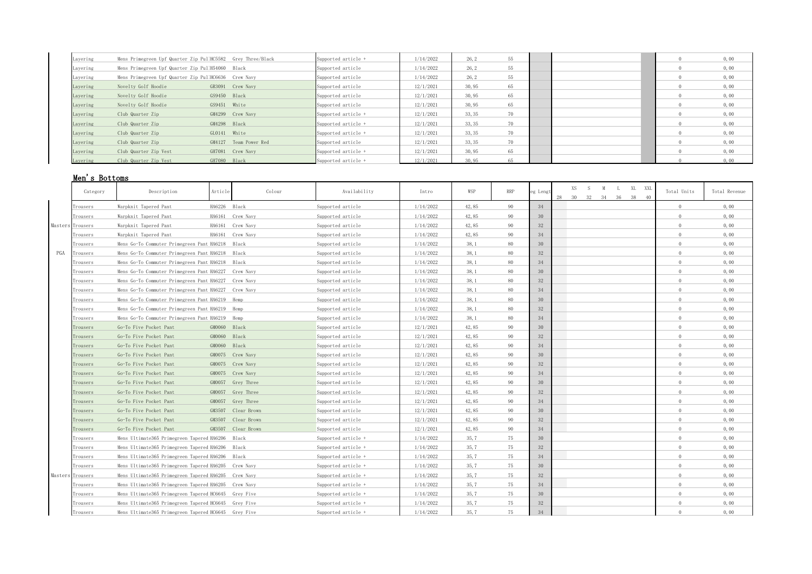| Layering | Mens Primegreen Upf Quarter Zip PullHC5582 Grey Three/Black |                       | Supported article + | 1/14/2022 | 26, 2  | 55 |  | 0,00 |
|----------|-------------------------------------------------------------|-----------------------|---------------------|-----------|--------|----|--|------|
| Layering | Mens Primegreen Upf Quarter Zip PullH54060 Black            |                       | Supported article   | 1/14/2022 | 26, 2  | 55 |  | 0,00 |
| Layering | Mens Primegreen Upf Quarter Zip PullHC6636 Crew Navy        |                       | Supported article   | 1/14/2022 | 26.2   | 55 |  | 0,00 |
| Layering | Novelty Golf Hoodie                                         | GR3091 Crew Navy      | Supported article   | 12/1/2021 | 30,95  | 65 |  | 0,00 |
| Layering | Novelty Golf Hoodie                                         | GS9450 Black          | Supported article   | 12/1/2021 | 30,95  | 65 |  | 0,00 |
| Layering | Novelty Golf Hoodie                                         | GS9451 White          | Supported article   | 12/1/2021 | 30,95  | 65 |  | 0,00 |
| Layering | Club Quarter Zip                                            | GM4299 Crew Navy      | Supported article + | 12/1/2021 | 33, 35 | 70 |  | 0,00 |
| Layering | Club Quarter Zip                                            | GM4298 Black          | Supported article + | 12/1/2021 | 33, 35 | 70 |  | 0,00 |
| Layering | Club Quarter Zip                                            | GL0141 White          | Supported article + | 12/1/2021 | 33, 35 | 70 |  | 0,00 |
| Layering | Club Quarter Zip                                            | GM4127 Team Power Red | Supported article   | 12/1/2021 | 33, 35 | 70 |  | 0,00 |
| Layering | Club Quarter Zip Vest                                       | GH7081 Crew Navy      | Supported article + | 12/1/2021 | 30,95  | 65 |  | 0,00 |
| Lavering | Club Quarter Zip Vest                                       | GH7080 Black          | Supported article + | 12/1/2021 | 30.95  |    |  | 0.00 |

# Men's Bottoms

|     | Category         | Description                                          | Article      | Colour             | Availability        | Intro     | WSP   | <b>RRP</b> | eg Lengt | XS S M L XL XXL<br>28<br>30 32 34 36 38 40 | Total Units    | Total Revenue |
|-----|------------------|------------------------------------------------------|--------------|--------------------|---------------------|-----------|-------|------------|----------|--------------------------------------------|----------------|---------------|
|     | Trousers         | Warpknit Tapered Pant                                | HA6226 Black |                    | Supported article   | 1/14/2022 | 42,85 | 90         | 34       |                                            | $\Omega$       | 0,00          |
|     | Trousers         | Warpknit Tapered Pant                                |              | HA6161 Crew Navy   | Supported article   | 1/14/2022 | 42,85 | 90         | 30       |                                            | $\cap$         | 0,00          |
|     | Masters Trousers | Warpknit Tapered Pant                                |              | HA6161 Crew Navy   | Supported article   | 1/14/2022 | 42,85 | 90         | 32       |                                            | $\Omega$       | 0,00          |
|     | Trousers         | Warpknit Tapered Pant                                |              | HA6161 Crew Navy   | Supported article   | 1/14/2022 | 42,85 | 90         | 34       |                                            | $\Omega$       | 0,00          |
|     | Trousers         | Mens Go-To Commuter Primegreen Pant HA6218 Black     |              |                    | Supported article   | 1/14/2022 | 38, 1 | 80         | 30       |                                            | $\Omega$       | 0,00          |
| PGA | rousers          | Mens Go-To Commuter Primegreen Pant HA6218 Black     |              |                    | Supported article   | 1/14/2022 | 38,1  | 80         | 32       |                                            | $\Omega$       | 0,00          |
|     | Trousers         | Mens Go-To Commuter Primegreen Pant HA6218 Black     |              |                    | Supported article   | 1/14/2022 | 38,1  | 80         | 34       |                                            | $\Omega$       | 0,00          |
|     | Trousers         | Mens Go-To Commuter Primegreen Pant HA6227 Crew Navy |              |                    | Supported article   | 1/14/2022 | 38.1  | 80         | 30       |                                            | $\Omega$       | 0,00          |
|     | Trousers         | Mens Go-To Commuter Primegreen Pant HA6227 Crew Navy |              |                    | Supported article   | 1/14/2022 | 38,1  | 80         | $32\,$   |                                            | $\Omega$       | 0,00          |
|     | Trousers         | Mens Go-To Commuter Primegreen Pant HA6227 Crew Navy |              |                    | Supported article   | 1/14/2022 | 38,1  | 80         | 34       |                                            | $\Omega$       | 0,00          |
|     | Trousers         | Mens Go-To Commuter Primegreen Pant HA6219 Hemp      |              |                    | Supported article   | 1/14/2022 | 38,1  | 80         | 30       |                                            | $\Omega$       | 0,00          |
|     | Trousers         | Mens Go-To Commuter Primegreen Pant HA6219 Hemp      |              |                    | Supported article   | 1/14/2022 | 38,1  | 80         | 32       |                                            | $\Omega$       | 0,00          |
|     | Trousers         | Mens Go-To Commuter Primegreen Pant HA6219 Hemp      |              |                    | Supported article   | 1/14/2022 | 38,1  | 80         | 34       |                                            | $\Omega$       | 0,00          |
|     | Trousers         | Go-To Five Pocket Pant                               | GM0060 Black |                    | Supported article   | 12/1/2021 | 42,85 | 90         | 30       |                                            | $\Omega$       | 0,00          |
|     | Trousers         | Go-To Five Pocket Pant                               | GM0060 Black |                    | Supported article   | 12/1/2021 | 42,85 | 90         | 32       |                                            | $\Omega$       | 0,00          |
|     | Trousers         | Go-To Five Pocket Pant                               | GM0060 Black |                    | Supported article   | 12/1/2021 | 42,85 | 90         | 34       |                                            | $\Omega$       | 0,00          |
|     | Trousers         | Go-To Five Pocket Pant                               |              | GM0075 Crew Navy   | Supported article   | 12/1/2021 | 42,85 | 90         | 30       |                                            | $^{\circ}$     | 0,00          |
|     | Trousers         | Go-To Five Pocket Pant                               |              | GM0075 Crew Navy   | Supported article   | 12/1/2021 | 42,85 | 90         | 32       |                                            | $\overline{0}$ | 0,00          |
|     | Trousers         | Go-To Five Pocket Pant                               |              | GM0075 Crew Navy   | Supported article   | 12/1/2021 | 42,85 | 90         | 34       |                                            | $\Omega$       | 0,00          |
|     | Trousers         | Go-To Five Pocket Pant                               |              | GM0057 Grey Three  | Supported article   | 12/1/2021 | 42,85 | 90         | 30       |                                            | $\Omega$       | 0,00          |
|     | Trousers         | Go-To Five Pocket Pant                               |              | GM0057 Grey Three  | Supported article   | 12/1/2021 | 42,85 | 90         | 32       |                                            | $\Omega$       | 0,00          |
|     | Trousers         | Go-To Five Pocket Pant                               |              | GM0057 Grey Three  | Supported article   | 12/1/2021 | 42,85 | 90         | 34       |                                            | $\Omega$       | 0,00          |
|     | Trousers         | Go-To Five Pocket Pant                               |              | GM3507 Clear Brown | Supported article   | 12/1/2021 | 42,85 | 90         | 30       |                                            | $\Omega$       | 0,00          |
|     | Trousers         | Go-To Five Pocket Pant                               |              | GM3507 Clear Brown | Supported article   | 12/1/2021 | 42,85 | 90         | 32       |                                            | $\Omega$       | 0,00          |
|     | Trousers         | Go-To Five Pocket Pant                               |              | GM3507 Clear Brown | Supported article   | 12/1/2021 | 42,85 | 90         | 34       |                                            | $\Omega$       | 0,00          |
|     | Trousers         | Mens Ultimate365 Primegreen Tapered HA6206 Black     |              |                    | Supported article + | 1/14/2022 | 35.7  | 75         | 30       |                                            | $\Omega$       | 0,00          |
|     | Trousers         | Mens Ultimate365 Primegreen Tapered HA6206 Black     |              |                    | Supported article + | 1/14/2022 | 35,7  | 75         | 32       |                                            | $\Omega$       | 0,00          |
|     | Trousers         | Mens Ultimate365 Primegreen Tapered HA6206 Black     |              |                    | Supported article + | 1/14/2022 | 35.7  | 75         | 34       |                                            | $\overline{0}$ | 0,00          |
|     | Trousers         | Mens Ultimate365 Primegreen Tapered HA6205 Crew Navy |              |                    | Supported article + | 1/14/2022 | 35,7  | 75         | 30       |                                            | $\Omega$       | 0,00          |
|     | Masters Trousers | Mens Ultimate365 Primegreen Tapered HA6205 Crew Navy |              |                    | Supported article + | 1/14/2022 | 35,7  | 75         | 32       |                                            | $\Omega$       | 0,00          |
|     | Trousers         | Mens Ultimate365 Primegreen Tapered HA6205 Crew Navy |              |                    | Supported article + | 1/14/2022 | 35,7  | 75         | 34       |                                            | $^{\circ}$     | 0,00          |
|     | Trousers         | Mens Ultimate365 Primegreen Tapered HC6645 Grey Five |              |                    | Supported article + | 1/14/2022 | 35,7  | 75         | 30       |                                            | $\Omega$       | 0,00          |
|     | Trousers         | Mens Ultimate365 Primegreen Tapered HC6645 Grey Five |              |                    | Supported article + | 1/14/2022 | 35,7  | 75         | 32       |                                            | $\Omega$       | 0,00          |
|     | Trousers         | Mens Ultimate365 Primegreen Tapered HC6645 Grey Five |              |                    | Supported article + | 1/14/2022 | 35,7  | 75         | 34       |                                            | $\Omega$       | 0,00          |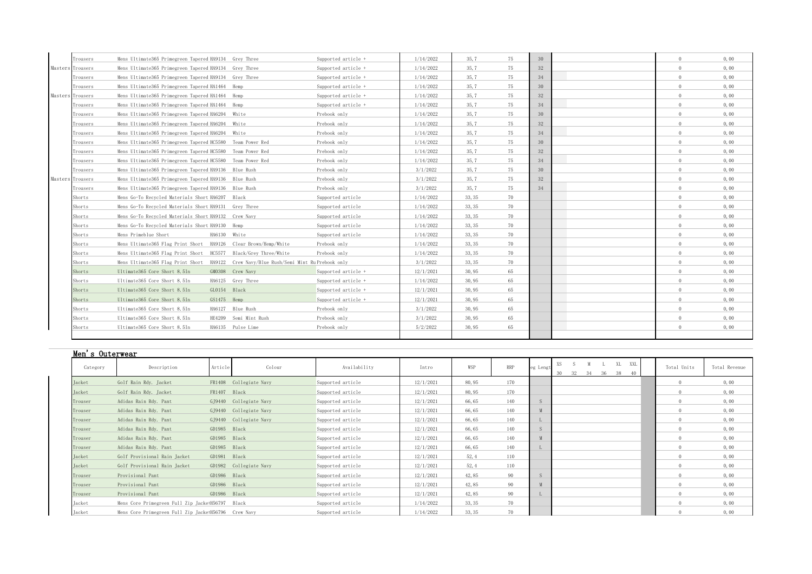| Trousers         | Mens Ultimate365 Primegreen Tapered HA9134 Grey Three                                  |                       | Supported article + | 1/14/2022 | 35,7   | 75 | 30 | $\Omega$ | 0,00 |
|------------------|----------------------------------------------------------------------------------------|-----------------------|---------------------|-----------|--------|----|----|----------|------|
| Masters Trousers | Mens Ultimate365 Primegreen Tapered HA9134 Grey Three                                  |                       | Supported article + | 1/14/2022 | 35, 7  | 75 | 32 | $\cap$   | 0,00 |
| Trousers         | Mens Ultimate365 Primegreen Tapered HA9134 Grey Three                                  |                       | Supported article + | 1/14/2022 | 35,7   | 75 | 34 | $\Omega$ | 0,00 |
| Trousers         | Mens Ultimate365 Primegreen Tapered HA1464 Hemp                                        |                       | Supported article + | 1/14/2022 | 35,7   | 75 | 30 | $\Omega$ | 0,00 |
| Masters Trousers | Mens Ultimate365 Primegreen Tapered HA1464 Hemp                                        |                       | Supported article + | 1/14/2022 | 35,7   | 75 | 32 | $\Omega$ | 0,00 |
| Trousers         | Mens Ultimate365 Primegreen Tapered HA1464 Hemp                                        |                       | Supported article + | 1/14/2022 | 35,7   | 75 | 34 |          | 0,00 |
| Trousers         | Mens Ultimate365 Primegreen Tapered HA6204 White                                       |                       | Prebook only        | 1/14/2022 | 35, 7  | 75 | 30 | $\cap$   | 0,00 |
| Trousers         | Mens Ultimate365 Primegreen Tapered HA6204 White                                       |                       | Prebook only        | 1/14/2022 | 35, 7  | 75 | 32 | $\Omega$ | 0,00 |
| Trousers         | Mens Ultimate365 Primegreen Tapered HA6204 White                                       |                       | Prebook only        | 1/14/2022 | 35.7   | 75 | 34 | $\Omega$ | 0,00 |
| Trousers         | Mens Ultimate365 Primegreen Tapered HC5580 Team Power Red                              |                       | Prebook only        | 1/14/2022 | 35, 7  | 75 | 30 | $\cap$   | 0,00 |
| Trousers         | Mens Ultimate365 Primegreen Tapered HC5580 Team Power Red                              |                       | Prebook only        | 1/14/2022 | 35, 7  | 75 | 32 | $\Omega$ | 0,00 |
| Trousers         | Mens Ultimate365 Primegreen Tapered HC5580 Team Power Red                              |                       | Prebook only        | 1/14/2022 | 35,7   | 75 | 34 | $\cap$   | 0,00 |
| Trousers         | Mens Ultimate365 Primegreen Tapered HA9136 Blue Rush                                   |                       | Prebook only        | 3/1/2022  | 35.7   | 75 | 30 | $\Omega$ | 0,00 |
| Masters Trousers | Mens Ultimate365 Primegreen Tapered HA9136 Blue Rush                                   |                       | Prebook only        | 3/1/2022  | 35,7   | 75 | 32 | $\Omega$ | 0,00 |
| Trousers         | Mens Ultimate365 Primegreen Tapered HA9136 Blue Rush                                   |                       | Prebook only        | 3/1/2022  | 35,7   | 75 | 34 | $\cap$   | 0,00 |
| Shorts           | Mens Go-To Recycled Materials Short HA6207 Black                                       |                       | Supported article   | 1/14/2022 | 33, 35 | 70 |    | $\Omega$ | 0,00 |
| Shorts           | Mens Go-To Recycled Materials Short HA9131 Grey Three                                  |                       | Supported article   | 1/14/2022 | 33, 35 | 70 |    | $\Omega$ | 0,00 |
| Shorts           | Mens Go-To Recycled Materials Short HA9132 Crew Navy                                   |                       | Supported article   | 1/14/2022 | 33, 35 | 70 |    |          | 0,00 |
| Shorts           | Mens Go-To Recycled Materials Short HA9130 Hemp                                        |                       | Supported article   | 1/14/2022 | 33, 35 | 70 |    | $\cap$   | 0,00 |
| Shorts           | Mens Primeblue Short                                                                   | HA6130 White          | Supported article   | 1/14/2022 | 33, 35 | 70 |    |          | 0,00 |
| Shorts           | Mens Ultimate365 Flag Print Short HA9126 Clear Brown/Hemp/White                        |                       | Prebook only        | 1/14/2022 | 33, 35 | 70 |    | $\Omega$ | 0,00 |
| Shorts           | Mens Ultimate365 Flag Print Short HC5577 Black/Grey Three/White                        |                       | Prebook only        | 1/14/2022 | 33, 35 | 70 |    | $\Omega$ | 0,00 |
| Shorts           | Mens Ultimate365 Flag Print Short HA9122 Crew Navy/Blue Rush/Semi Mint Ru Prebook only |                       |                     | 3/1/2022  | 33, 35 | 70 |    | $\cap$   | 0,00 |
| Shorts           | Ultimate365 Core Short 8.5In                                                           | GM0308 Crew Navy      | Supported article + | 12/1/2021 | 30,95  | 65 |    | $\Omega$ | 0,00 |
| Shorts           | Ultimate365 Core Short 8.5In                                                           | HA6125 Grey Three     | Supported article + | 1/14/2022 | 30,95  | 65 |    |          | 0,00 |
| Shorts           | Ultimate365 Core Short 8.5In                                                           | GL0154 Black          | Supported article + | 12/1/2021 | 30,95  | 65 |    | $\Omega$ | 0,00 |
| Shorts           | Ultimate365 Core Short 8.5In                                                           | GS1475 Hemp           | Supported article + | 12/1/2021 | 30,95  | 65 |    | $\Omega$ | 0,00 |
| Shorts           | Ultimate365 Core Short 8.5In                                                           | HA6127 Blue Rush      | Prebook only        | 3/1/2022  | 30,95  | 65 |    | $\Omega$ | 0,00 |
| Shorts           | Ultimate365 Core Short 8.5In                                                           | HE4209 Semi Mint Rush | Prebook only        | 3/1/2022  | 30,95  | 65 |    | $\Omega$ | 0,00 |
| Shorts           | Ultimate365 Core Short 8.5In                                                           | HA6135 Pulse Lime     | Prebook only        | 5/2/2022  | 30,95  | 65 |    | $\cap$   | 0,00 |
|                  |                                                                                        |                       |                     |           |        |    |    |          |      |

| Men's Outerwear |                                                      |              |                        |                   |           |        |            |          |           |             |               |
|-----------------|------------------------------------------------------|--------------|------------------------|-------------------|-----------|--------|------------|----------|-----------|-------------|---------------|
| Category        | Description                                          | Article      | Colour                 | Availability      | Intro     | WSP    | <b>RRP</b> | eg Lengt | XXL<br>XS | Total Units | Total Revenue |
| Jacket          | Golf Rain Rdy. Jacket                                |              | FR1408 Collegiate Navy | Supported article | 12/1/2021 | 80, 95 | 170        |          |           |             | 0,00          |
| Jacket          | Golf Rain Rdy. Jacket                                | FR1407 Black |                        | Supported article | 12/1/2021 | 80, 95 | 170        |          |           |             | 0,00          |
| Trouser         | Adidas Rain Rdy. Pant                                |              | GJ9440 Collegiate Navy | Supported article | 12/1/2021 | 66,65  | 140        |          |           |             | 0,00          |
| Trouser         | Adidas Rain Rdy. Pant                                |              | GJ9440 Collegiate Navy | Supported article | 12/1/2021 | 66,65  | 140        |          |           |             | 0,00          |
| Trouser         | Adidas Rain Rdy. Pant                                |              | GJ9440 Collegiate Navy | Supported article | 12/1/2021 | 66,65  | 140        |          |           |             | 0,00          |
| Trouser         | Adidas Rain Rdy. Pant                                | GD1985 Black |                        | Supported article | 12/1/2021 | 66,65  | 140        |          |           |             | 0,00          |
| Trouser         | Adidas Rain Rdy. Pant                                | GD1985 Black |                        | Supported article | 12/1/2021 | 66,65  | 140        |          |           |             | 0,00          |
| Trouser         | Adidas Rain Rdy. Pant                                | GD1985 Black |                        | Supported article | 12/1/2021 | 66,65  | 140        |          |           |             | 0,00          |
| Jacket          | Golf Provisional Rain Jacket                         | GD1981 Black |                        | Supported article | 12/1/2021 | 52, 4  | 110        |          |           |             | 0,00          |
| Jacket          | Golf Provisional Rain Jacket                         |              | GD1982 Collegiate Navy | Supported article | 12/1/2021 | 52, 4  | 110        |          |           |             | 0,00          |
| Trouser         | Provisional Pant                                     | GD1986 Black |                        | Supported article | 12/1/2021 | 42,85  | 90         |          |           |             | 0,00          |
| Trouser         | Provisional Pant                                     | GD1986 Black |                        | Supported article | 12/1/2021 | 42,85  | 90         |          |           |             | 0,00          |
| Trouser         | Provisional Pant                                     | GD1986 Black |                        | Supported article | 12/1/2021 | 42,85  | 90         |          |           |             | 0,00          |
| Jacket          | Mens Core Primegreen Full Zip JacketH56797 Black     |              |                        | Supported article | 1/14/2022 | 33, 35 | 70         |          |           |             | 0,00          |
| Jacket          | Mens Core Primegreen Full Zip Jacke:H56796 Crew Navy |              |                        | Supported article | 1/14/2022 | 33, 35 | 70         |          |           |             | 0,00          |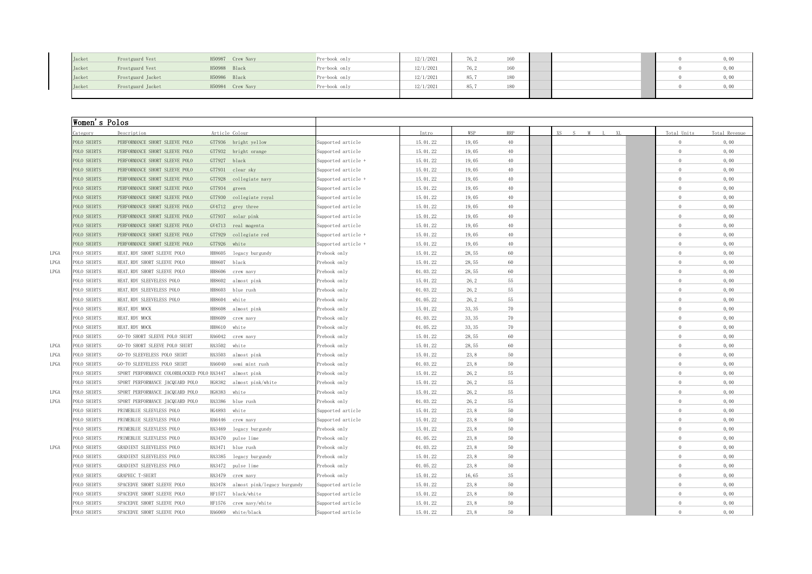| Jacket        | Frostguard Vest   | H50987 Crew Navy | Pre-book only | 12/1/2021 | . .  |                   |  | 0,00 |
|---------------|-------------------|------------------|---------------|-----------|------|-------------------|--|------|
| <b>Jacket</b> | Frostguard Vest   | H50988 Black     | Pre-book only | 12/1/202  | $-1$ | 1C <sub>0</sub>   |  | 0,00 |
| Jacket        | Frostguard Jacket | H50986 Black     | Pre-book only | 12/1/2021 | 85,7 | 180<br>10 V       |  | 0,00 |
| Jacket        | Frostguard Jacket | H50984 Crew Navy | Pre-book only | 12/1/2021 | 85.7 | $\sim$ 0.0<br>100 |  | 0,00 |
|               |                   |                  |               |           |      |                   |  |      |

|                     | Women's Polos                                          |                                    |                     |          |        |            |                           |                |               |
|---------------------|--------------------------------------------------------|------------------------------------|---------------------|----------|--------|------------|---------------------------|----------------|---------------|
| ategory             | Description                                            | Article Colour                     |                     | Intro    | WSP    | <b>RRP</b> | XS<br>XI.<br>$\mathbf{C}$ | Total Units    | Total Revenue |
| OLO SHIRTS          | PERFORMANCE SHORT SLEEVE POLO                          | GT7936 bright yellow               | Supported article   | 15.01.22 | 19,05  | 40         |                           | $\Omega$       | 0,00          |
| POLO SHIRTS         | PERFORMANCE SHORT SLEEVE POLO                          | GT7932 bright orange               | Supported article   | 15.01.22 | 19,05  | 40         |                           | $\overline{0}$ | 0,00          |
| POLO SHIRTS         | PERFORMANCE SHORT SLEEVE POLO                          | GT7927 black                       | Supported article + | 15.01.22 | 19,05  | 40         |                           | $\theta$       | 0,00          |
| POLO SHIRTS         | PERFORMANCE SHORT SLEEVE POLO                          | GT7931 clear sky                   | Supported article   | 15.01.22 | 19.05  | 40         |                           | $\circ$        | 0,00          |
| POLO SHIRTS         | PERFORMANCE SHORT SLEEVE POLO                          | GT7928 collegiate navy             | Supported article + | 15.01.22 | 19,05  | 40         |                           | $\theta$       | 0,00          |
| POLO SHIRTS         | PERFORMANCE SHORT SLEEVE POLO                          | GT7934 green                       | Supported article   | 15.01.22 | 19,05  | 40         |                           | $\Omega$       | 0,00          |
| POLO SHIRTS         | PERFORMANCE SHORT SLEEVE POLO                          | GT7930 collegiate royal            | Supported article   | 15.01.22 | 19,05  | 40         |                           | $\overline{0}$ | 0,00          |
| POLO SHIRTS         | PERFORMANCE SHORT SLEEVE POLO                          | GV4712 grey three                  | Supported article   | 15.01.22 | 19,05  | 40         |                           | $\overline{0}$ | 0,00          |
| POLO SHIRTS         | PERFORMANCE SHORT SLEEVE POLO                          | GT7937 solar pink                  | Supported article   | 15.01.22 | 19,05  | $40\,$     |                           | $\Omega$       | 0,00          |
| POLO SHIRTS         | PERFORMANCE SHORT SLEEVE POLO                          | GV4713 real magenta                | Supported article   | 15.01.22 | 19,05  | 40         |                           | $\overline{0}$ | 0,00          |
| POLO SHIRTS         | PERFORMANCE SHORT SLEEVE POLO                          | GT7929 collegiate red              | Supported article + | 15.01.22 | 19,05  | 40         |                           | $\Omega$       | 0,00          |
| POLO SHIRTS         | PERFORMANCE SHORT SLEEVE POLO                          | GT7926 white                       | Supported article + | 15.01.22 | 19,05  | 40         |                           | $\overline{0}$ | 0,00          |
| POLO SHIRTS<br>LPGA | HEAT. RDY SHORT SLEEVE POLO                            | HH8605 legacy burgundy             | Prebook only        | 15.01.22 | 28,55  | 60         |                           | $\theta$       | 0,00          |
| POLO SHIRTS<br>LPGA | HEAT. RDY SHORT SLEEVE POLO                            | HH8607 black                       | Prebook only        | 15.01.22 | 28,55  | 60         |                           | $\Omega$       | 0,00          |
| POLO SHIRTS<br>LPGA | HEAT. RDY SHORT SLEEVE POLO                            | HH8606 crew navy                   | Prebook only        | 01.03.22 | 28,55  | 60         |                           | $\Omega$       | 0,00          |
| POLO SHIRTS         | HEAT. RDY SLEEVELESS POLO                              | HH8602 almost pink                 | Prebook only        | 15.01.22 | 26, 2  | 55         |                           | $\Omega$       | 0,00          |
| POLO SHIRTS         | HEAT. RDY SLEEVELESS POLO                              | HH8603 blue rush                   | Prebook only        | 01.03.22 | 26, 2  | 55         |                           | $\overline{0}$ | 0,00          |
| POLO SHIRTS         | HEAT. RDY SLEEVELESS POLO                              | HH8604 white                       | Prebook only        | 01.05.22 | 26, 2  | 55         |                           | $\circ$        | 0,00          |
| POLO SHIRTS         | HEAT. RDY MOCK                                         | HH8608 almost pink                 | Prebook only        | 15.01.22 | 33, 35 | 70         |                           | $\Omega$       | 0,00          |
| POLO SHIRTS         | HEAT. RDY MOCK                                         | HH8609 crew navy                   | Prebook only        | 01.03.22 | 33, 35 | 70         |                           | $\overline{0}$ | 0,00          |
| POLO SHIRTS         | HEAT. RDY MOCK                                         | HH8610 white                       | Prebook only        | 01.05.22 | 33, 35 | 70         |                           | $\Omega$       | 0,00          |
| POLO SHIRTS         | GO-TO SHORT SLEEVE POLO SHIRT                          | HA6042 crew navy                   | Prebook only        | 15.01.22 | 28,55  | 60         |                           | $\theta$       | 0,00          |
| POLO SHIRTS         | GO-TO SHORT SLEEVE POLO SHIRT                          | HA3502 white                       | Prebook only        | 15.01.22 | 28,55  | 60         |                           | $\overline{0}$ | 0,00          |
| POLO SHIRTS         | GO-TO SLEEVELESS POLO SHIRT                            | HA3503 almost pink                 | Prebook only        | 15.01.22 | 23, 8  | 50         |                           | $\Omega$       | 0,00          |
| POLO SHIRTS         | GO-TO SLEEVELESS POLO SHIRT                            | HA6040 semi mint rush              | Prebook only        | 01.03.22 | 23,8   | 50         |                           | $\overline{0}$ | 0,00          |
| POLO SHIRTS         | SPORT PERFORMANCE COLORBLOCKED POLO HA3447 almost pink |                                    | Prebook only        | 15.01.22 | 26, 2  | 55         |                           | $\circ$        | 0,00          |
| POLO SHIRTS         | SPORT PERFORMANCE JACQUARD POLO                        | HG8382 almost pink/white           | Prebook only        | 15.01.22 | 26, 2  | 55         |                           | $\theta$       | 0,00          |
| POLO SHIRTS         | SPORT PERFORMANCE JACQUARD POLO                        | HG8383 white                       | Prebook only        | 15.01.22 | 26, 2  | 55         |                           | $\theta$       | 0,00          |
| POLO SHIRTS         | SPORT PERFORMANCE JACQUARD POLO                        | HA3386 blue rush                   | Prebook only        | 01.03.22 | 26, 2  | 55         |                           | $\Omega$       | 0,00          |
| POLO SHIRTS         | PRIMEBLUE SLEEVLESS POLO                               | HG4893 white                       | Supported article   | 15.01.22 | 23,8   | 50         |                           | $\Omega$       | 0,00          |
| POLO SHIRTS         | PRIMEBLUE SLEEVLESS POLO                               | HA6446 crew navy                   | Supported article   | 15.01.22 | 23,8   | $50\,$     |                           | $\Omega$       | 0,00          |
| POLO SHIRTS         | PRIMEBLUE SLEEVLESS POLO                               | HA3469 legacy burgundy             | Prebook only        | 15.01.22 | 23, 8  | 50         |                           | $\Omega$       | 0,00          |
| POLO SHIRTS         | PRIMEBLUE SLEEVLESS POLO                               | HA3470 pulse lime                  | Prebook only        | 01.05.22 | 23,8   | 50         |                           | $\circ$        | 0,00          |
| POLO SHIRTS<br>LPGA | GRADIENT SLEEVELESS POLO                               | HA3471 blue rush                   | Prebook only        | 01.03.22 | 23, 8  | 50         |                           | $\overline{0}$ | 0,00          |
| POLO SHIRTS         | GRADIENT SLEEVELESS POLO                               | HA3385 legacy burgundy             | Prebook only        | 15.01.22 | 23,8   | 50         |                           | $\overline{0}$ | 0,00          |
| POLO SHIRTS         | GRADIENT SLEEVELESS POLO                               | HA3472 pulse lime                  | Prebook only        | 01.05.22 | 23.8   | 50         |                           | $\Omega$       | 0,00          |
| POLO SHIRTS         | GRAPHIC T-SHIRT                                        | HA3479 crew navy                   | Prebook only        | 15.01.22 | 16,65  | 35         |                           | $\Omega$       | 0,00          |
| POLO SHIRTS         | SPACEDYE SHORT SLEEVE POLO                             | HA3478 almost pink/legacy burgundy | Supported article   | 15.01.22 | 23,8   | 50         |                           | $\circ$        | 0,00          |
| POLO SHIRTS         | SPACEDYE SHORT SLEEVE POLO                             | HF1577 black/white                 | Supported article   | 15.01.22 | 23, 8  | 50         |                           | $\Omega$       | 0,00          |
| POLO SHIRTS         | SPACEDYE SHORT SLEEVE POLO                             | HF1576 crew navy/white             | Supported article   | 15.01.22 | 23,8   | 50         |                           | $\circ$        | 0,00          |
| POLO SHIRTS         | SPACEDYE SHORT SLEEVE POLO                             | HA6069 white/black                 | Supported article   | 15.01.22 | 23, 8  | 50         |                           | $\Omega$       | 0,00          |
|                     |                                                        |                                    |                     |          |        |            |                           |                |               |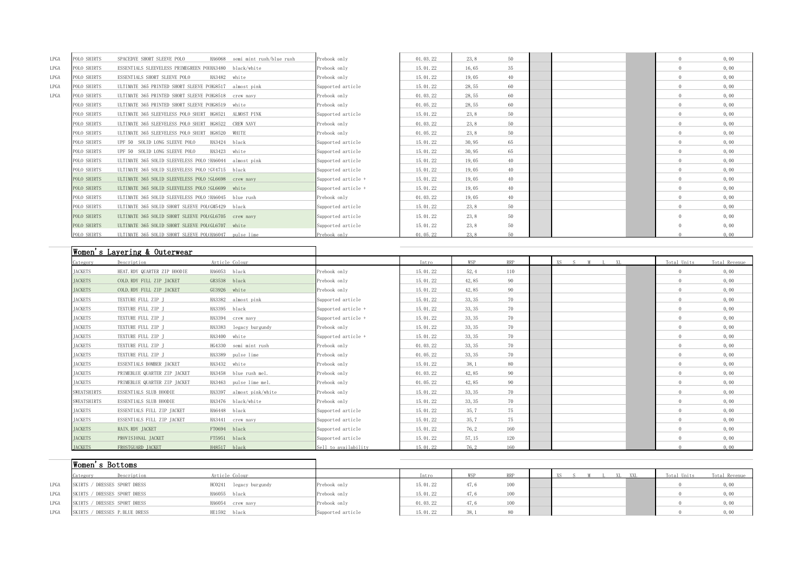| LPGA | POLO SHIRTS | SPACEDYE SHORT SLEEVE POLO<br>HA6068                   | semi mint rush/blue rush | Prebook only        | 01.03.22 | 23, 8 | 50 |  | $\Omega$ | 0,00 |
|------|-------------|--------------------------------------------------------|--------------------------|---------------------|----------|-------|----|--|----------|------|
| LPGA | POLO SHIRTS | ESSENTIALS SLEEVELESS PRIMEGREEN POIHA3480 black/white |                          | Prebook only        | 15.01.22 | 16,65 | 35 |  |          | 0,00 |
| LPGA | POLO SHIRTS | ESSENTIALS SHORT SLEEVE POLO<br>HA3482 white           |                          | Prebook only        | 15.01.22 | 19,05 | 40 |  | 0.       | 0,00 |
| LPGA | POLO SHIRTS | ULTIMATE 365 PRINTED SHORT SLEEVE P(HG8517 almost pink |                          | Supported article   | 15.01.22 | 28,55 | 60 |  |          | 0,00 |
| LPGA | POLO SHIRTS | ULTIMATE 365 PRINTED SHORT SLEEVE P(HG8518 crew navy   |                          | Prebook only        | 01.03.22 | 28,55 | 60 |  |          | 0,00 |
|      | POLO SHIRTS | ULTIMATE 365 PRINTED SHORT SLEEVE P(HG8519 white       |                          | Prebook only        | 01.05.22 | 28,55 | 60 |  |          | 0,00 |
|      | POLO SHIRTS | ULTIMATE 365 SLEEVELESS POLO SHIRT HG8521 ALMOST PINK  |                          | Supported article   | 15.01.22 | 23, 8 | 50 |  |          | 0,00 |
|      | POLO SHIRTS | ULTIMATE 365 SLEEVELESS POLO SHIRT HG8522              | CREW NAVY                | Prebook only        | 01.03.22 | 23, 8 | 50 |  |          | 0,00 |
|      | POLO SHIRTS | ULTIMATE 365 SLEEVELESS POLO SHIRT HG8520 WHITE        |                          | Prebook only        | 01.05.22 | 23.8  | 50 |  |          | 0,00 |
|      | POLO SHIRTS | UPF 50 SOLID LONG SLEEVE POLO<br>HA3424 black          |                          | Supported article   | 15.01.22 | 30,95 | 65 |  |          | 0,00 |
|      | POLO SHIRTS | UPF 50 SOLID LONG SLEEVE POLO<br>HA3423 white          |                          | Supported article   | 15.01.22 | 30,95 | 65 |  |          | 0,00 |
|      | POLO SHIRTS | ULTIMATE 365 SOLID SLEEVELESS POLO (HA6044 almost pink |                          | Supported article   | 15.01.22 | 19,05 | 40 |  |          | 0,00 |
|      | POLO SHIRTS | ULTIMATE 365 SOLID SLEEVELESS POLO :GV4715 black       |                          | Supported article   | 15.01.22 | 19,05 | 40 |  |          | 0,00 |
|      | POLO SHIRTS | ULTIMATE 365 SOLID SLEEVELESS POLO (GL6698 crew navy   |                          | Supported article + | 15.01.22 | 19,05 | 40 |  |          | 0,00 |
|      | POLO SHIRTS | ULTIMATE 365 SOLID SLEEVELESS POLO (GL6699 white       |                          | Supported article + | 15.01.22 | 19,05 | 40 |  |          | 0,00 |
|      | POLO SHIRTS | ULTIMATE 365 SOLID SLEEVELESS POLO (HA6045 blue rush   |                          | Prebook only        | 01.03.22 | 19,05 | 40 |  | $\Omega$ | 0,00 |
|      | POLO SHIRTS | ULTIMATE 365 SOLID SHORT SLEEVE POL(GM5429 black       |                          | Supported article   | 15.01.22 | 23, 8 | 50 |  |          | 0,00 |
|      | POLO SHIRTS | ULTIMATE 365 SOLID SHORT SLEEVE POL(GL6705 crew navy   |                          | Supported article   | 15.01.22 | 23, 8 | 50 |  |          | 0,00 |
|      | POLO SHIRTS | ULTIMATE 365 SOLID SHORT SLEEVE POL(GL6707 white       |                          | Supported article   | 15.01.22 | 23.8  | 50 |  |          | 0,00 |
|      | POLO SHIRTS | ULTIMATE 365 SOLID SHORT SLEEVE POL(HA6047 pulse lime  |                          | Prebook only        | 01.05.22 | 23.8  | 50 |  |          | 0.00 |

|                | Women's Layering & Outerwear |                          |                      |          |        |     |                       |             |               |
|----------------|------------------------------|--------------------------|----------------------|----------|--------|-----|-----------------------|-------------|---------------|
| Category       | Description                  | Article Colour           |                      | Intro    | WSP    | RRP | XS S M L<br><b>VI</b> | Total Units | Total Revenue |
| <b>JACKETS</b> | HEAT. RDY QUARTER ZIP HOODIE | HA6053 black             | Prebook only         | 15.01.22 | 52, 4  | 110 |                       |             | 0,00          |
| <b>JACKETS</b> | COLD. RDY FULL ZIP JACKET    | GR3538 black             | Prebook only         | 15.01.22 | 42,85  | 90  |                       | $\Omega$    | 0,00          |
| <b>TACKETS</b> | COLD. RDY FULL ZIP JACKET    | GU3926 white             | Prebook only         | 15.01.22 | 42.85  | 90  |                       | $\Omega$    | 0,00          |
| <b>JACKETS</b> | TEXTURE FULL ZIP J           | HA3382 almost pink       | Supported article    | 15.01.22 | 33, 35 | 70  |                       | $\Omega$    | 0,00          |
| <b>JACKETS</b> | TEXTURE FULL ZIP J           | HA3395 black             | Supported article +  | 15.01.22 | 33, 35 | 70  |                       | $\Omega$    | 0,00          |
| <b>JACKETS</b> | TEXTURE FULL ZIP J           | HA3394 crew navy         | Supported article +  | 15.01.22 | 33, 35 | 70  |                       | $\Omega$    | 0,00          |
| <b>JACKETS</b> | TEXTURE FULL ZIP J           | HA3383 legacy burgundy   | Prebook only         | 15.01.22 | 33, 35 | 70  |                       | $\Omega$    | 0,00          |
| <b>JACKETS</b> | TEXTURE FULL ZIP J           | HA3400 white             | Supported article +  | 15.01.22 | 33, 35 | 70  |                       | $\Omega$    | 0,00          |
| <b>JACKETS</b> | TEXTURE FULL ZIP J           | HG4330 semi mint rush    | Prebook only         | 01.03.22 | 33, 35 | 70  |                       | $\Omega$    | 0,00          |
| <b>JACKETS</b> | TEXTURE FULL ZIP J           | HA3389 pulse lime        | Prebook only         | 01.05.22 | 33, 35 | 70  |                       | $\Omega$    | 0,00          |
| <b>JACKETS</b> | ESSENTIALS BOMBER JACKET     | HA3432 white             | Prebook only         | 15.01.22 | 38,1   | 80  |                       |             | 0,00          |
| <b>JACKETS</b> | PRIMEBLUE QUARTER ZIP JACKET | HA3458 blue rush mel.    | Prebook only         | 01.03.22 | 42,85  | 90  |                       | $\Omega$    | 0,00          |
| <b>JACKETS</b> | PRIMEBLUE QUARTER ZIP JACKET | HA3463 pulse lime mel.   | Prebook only         | 01.05.22 | 42,85  | 90  |                       | $\Omega$    | 0,00          |
| SWEATSHIRTS    | ESSENTIALS SLUB HOODIE       | HA3397 almost pink/white | Prebook only         | 15.01.22 | 33, 35 | 70  |                       | $\Omega$    | 0,00          |
| SWEATSHIRTS    | ESSENTIALS SLUB HOODIE       | HA3476 black/white       | Prebook only         | 15.01.22 | 33, 35 | 70  |                       | $\Omega$    | 0,00          |
| <b>JACKETS</b> | ESSENTIALS FULL ZIP JACKET   | HA6448 black             | Supported article    | 15.01.22 | 35,7   | 75  |                       | $\Omega$    | 0,00          |
| <b>TACKETS</b> | ESSENTIALS FULL ZIP JACKET   | HA3441 crew navy         | Supported article    | 15.01.22 | 35.7   | 75  |                       | $\Omega$    | 0,00          |
| <b>JACKETS</b> | RAIN. RDY JACKET             | FT0694 black             | Supported article    | 15.01.22 | 76, 2  | 160 |                       |             | 0,00          |
| <b>JACKETS</b> | PROVISIONAL JACKET           | FT5951 black             | Supported article    | 15.01.22 | 57, 15 | 120 |                       | $\Omega$    | 0,00          |
| <b>TACKETS</b> | FROSTGUARD TACKET            | H48517 black             | Sell to availability | 15.01.22 | 76.2   | 160 |                       |             | $0.00 -$      |

| Women's Bottoms                     |                        |                   |          |     |  |                |
|-------------------------------------|------------------------|-------------------|----------|-----|--|----------------|
| Description                         | Article Colou          |                   |          |     |  | Fotal Revenue. |
| LPGA SKIRTS / DRESSES SPORT DRESS   | HCO241 legacy burgundy | Prebook only      | 15.01.22 | 100 |  | 0,00           |
| LPGA SKIRTS / DRESSES SPORT DRESS   | HA6055 black           | Prebook only      | 15.01.22 |     |  | 0,00           |
| LPGA SKIRTS / DRESSES SPORT DRESS   | HA6054 crew navy       | Prebook only      | 01.03.22 |     |  | 0,00           |
| LPGA SKIRTS / DRESSES P. BLUE DRESS | HE1592 black           | Supported article | 15.01.22 |     |  | 0,00           |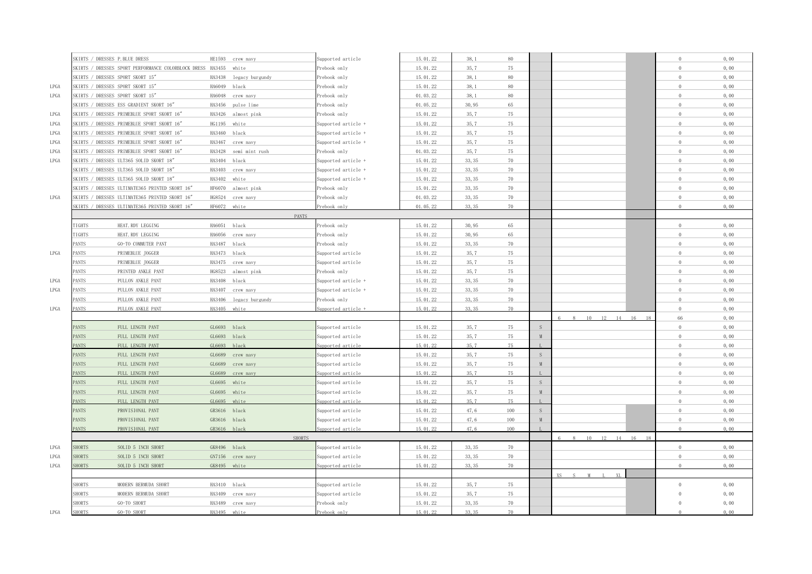|      | SKIRTS / DRESSES P. BLUE DRESS |                                                                  | HE1593 crew navy                       | Supported article   | 15.01.22             | 38,1          | $80\,$   |   |                                                      | $\Omega$       | 0,00 |
|------|--------------------------------|------------------------------------------------------------------|----------------------------------------|---------------------|----------------------|---------------|----------|---|------------------------------------------------------|----------------|------|
|      |                                | SKIRTS / DRESSES SPORT PERFORMANCE COLORBLOCK DRESS HA3455 white |                                        | Prebook only        | 15.01.22             | 35,7          | 75       |   |                                                      | $\theta$       | 0,00 |
|      |                                | SKIRTS / DRESSES SPORT SKORT 15"                                 | HA3438 legacy burgundy                 | Prebook only        | 15.01.22             | 38,1          | $80\,$   |   |                                                      | $\Omega$       | 0,00 |
| LPGA |                                | SKIRTS / DRESSES SPORT SKORT 15"                                 | HA6049 black                           | Prebook only        | 15.01.22             | 38,1          | $80\,$   |   |                                                      | $\theta$       | 0,00 |
| LPGA |                                | SKIRTS / DRESSES SPORT SKORT 15"                                 | HA6048 crew navy                       | Prebook only        | 01.03.22             | 38,1          | $80\,$   |   |                                                      | $\Omega$       | 0,00 |
|      |                                | SKIRTS / DRESSES ESS GRADIENT SKORT 16"                          | HA3456 pulse lime                      | Prebook only        | 01.05.22             | 30,95         | 65       |   |                                                      | $\Omega$       | 0,00 |
| LPGA |                                | SKIRTS / DRESSES PRIMEBLUE SPORT SKORT 16″                       | HA3426 almost pink                     | Prebook only        | 15.01.22             | 35,7          | 75       |   |                                                      | $\Omega$       | 0,00 |
| LPGA |                                | SKIRTS / DRESSES PRIMEBLUE SPORT SKORT 16"                       | HG1195 white                           | Supported article + | 15.01.22             | 35, 7         | 75       |   |                                                      | $\theta$       | 0,00 |
| LPGA |                                | SKIRTS / DRESSES PRIMEBLUE SPORT SKORT 16"                       | HA3460 black                           | Supported article + | 15.01.22             | 35,7          | 75       |   |                                                      | $\theta$       | 0,00 |
| LPGA |                                | SKIRTS / DRESSES PRIMEBLUE SPORT SKORT 16"                       | HA3467 crew navy                       | Supported article + | 15.01.22             | 35,7          | 75       |   |                                                      | $\Omega$       | 0,00 |
| LPGA |                                | SKIRTS / DRESSES PRIMEBLUE SPORT SKORT 16"                       | HA3428 semi mint rush                  | Prebook only        | 01.03.22             | 35, 7         | 75       |   |                                                      | $\theta$       | 0,00 |
| LPGA |                                | SKIRTS / DRESSES ULT365 SOLID SKORT 18"                          | HA3404 black                           | Supported article + | 15.01.22             | 33, 35        | 70       |   |                                                      | $\Omega$       | 0,00 |
|      |                                | SKIRTS / DRESSES ULT365 SOLID SKORT 18"                          | HA3403 crew navy                       | Supported article + | 15.01.22             | 33, 35        | 70       |   |                                                      | $\Omega$       | 0,00 |
|      |                                | SKIRTS / DRESSES ULT365 SOLID SKORT 18"                          | HA3402 white                           | Supported article + | 15.01.22             | 33, 35        | 70       |   |                                                      | $\Omega$       | 0,00 |
|      |                                | SKIRTS / DRESSES ULTIMATE365 PRINTED SKORT 16"                   | HF6070 almost pink                     | Prebook only        | 15.01.22             | 33, 35        | 70       |   |                                                      | $\Omega$       | 0,00 |
| LPGA |                                | SKIRTS / DRESSES ULTIMATE365 PRINTED SKORT 16"                   | HG8524 crew navy                       | Prebook only        | 01.03.22             | 33, 35        | 70       |   |                                                      | $\theta$       | 0,00 |
|      |                                | SKIRTS / DRESSES ULTIMATE365 PRINTED SKORT 16"                   | HF6072 white                           | Prebook only        | 01.05.22             | 33, 35        | 70       |   |                                                      | $\sqrt{2}$     | 0,00 |
|      |                                |                                                                  | <b>PANTS</b>                           |                     |                      |               |          |   |                                                      |                |      |
|      | TIGHTS                         | HEAT. RDY LEGGING                                                | HA6051 black                           | Prebook only        | 15.01.22             | 30,95         | 65       |   |                                                      | $\overline{0}$ | 0,00 |
|      | <b>TIGHTS</b>                  | HEAT. RDY LEGGING                                                | HA6056 crew navy                       | Prebook only        | 15.01.22             | 30,95         | 65       |   |                                                      | $\Omega$       | 0,00 |
|      | PANTS                          | GO-TO COMMUTER PANT                                              | HA3487 black                           | Prebook only        | 15.01.22             | 33, 35        | 70       |   |                                                      | $\theta$       | 0,00 |
| LPGA | ANTS <sup></sup>               | PRIMEBLUE JOGGER                                                 | HA3473 black                           | Supported article   | 15.01.22             | 35, 7         | 75       |   |                                                      | $\theta$       | 0,00 |
|      | <b>ANTS</b>                    | PRIMEBLUE JOGGER                                                 | HA3475 crew navy                       | Supported article   | 15.01.22             | 35,7          | 75       |   |                                                      | $\Omega$       | 0,00 |
|      | <b>ANTS</b>                    | PRINTED ANKLE PANT                                               | HG8523 almost pink                     | Prebook only        | 15.01.22             | 35,7          | 75       |   |                                                      | $\theta$       | 0,00 |
| LPGA | <b>ANTS</b>                    | PULLON ANKLE PANT                                                | HA3408 black                           | Supported article + | 15.01.22             | 33, 35        | 70       |   |                                                      | $\Omega$       | 0,00 |
| LPGA | <b>ANTS</b>                    | PULLON ANKLE PANT                                                | HA3407 crew navy                       | Supported article + | 15.01.22             | 33, 35        | 70       |   |                                                      | $\theta$       | 0,00 |
|      | ANTS <sup></sup>               | PULLON ANKLE PANT                                                |                                        | Prebook only        | 15.01.22             | 33, 35        | 70       |   |                                                      | $\Omega$       | 0,00 |
| LPGA | ANTS                           | PULLON ANKLE PANT                                                | HA3406 legacy burgundy<br>HA3405 white | pported article +   | 15.01.22             | 33.35         | 70       |   |                                                      | $\Omega$       | 0,00 |
|      |                                |                                                                  |                                        |                     |                      |               |          |   | 10  12  14  16  18<br>$\mathbb{R}$<br>8 <sup>8</sup> | 66             | 0,00 |
|      | <b>PANTS</b>                   | FULL LENGTH PANT                                                 | GL6693 black                           | Supported article   | 15.01.22             | 35,7          | 75       | S |                                                      | $\Omega$       | 0,00 |
|      |                                |                                                                  |                                        |                     |                      | 35, 7         | 75       | M |                                                      | $\Omega$       | 0,00 |
|      | PANTS<br>PANTS                 | FULL LENGTH PANT<br>FULL LENGTH PANT                             | GL6693 black<br>GL6693 black           | Supported article   | 15.01.22<br>15.01.22 | 35,7          | 75       |   |                                                      | $\Omega$       | 0,00 |
|      |                                |                                                                  |                                        | upported article    |                      |               |          |   |                                                      | $\Omega$       |      |
|      | <b>PANTS</b>                   | FULL LENGTH PANT                                                 | GL6689 crew navy                       | Supported article   | 15.01.22             | 35,7          | 75       | S |                                                      | $\Omega$       | 0,00 |
|      | PANTS                          | FULL LENGTH PANT                                                 | GL6689 crew navy                       | Supported article   | 15.01.22<br>15 01 22 | 35, 7<br>35.7 | 75<br>75 | M |                                                      | $\Omega$       | 0,00 |
|      | <b>PANTS</b>                   | FULL LENGTH PANT                                                 | GL6689 crew navy                       | pported article     |                      |               |          |   |                                                      |                | 0,00 |
|      | <b>PANTS</b>                   | FULL LENGTH PANT                                                 | GL6695 white                           | Supported article   | 15.01.22             | 35,7          | 75       | S |                                                      | $\Omega$       | 0,00 |
|      | PANTS                          | FULL LENGTH PANT                                                 | GL6695 white                           | Supported article   | 15.01.22             | 35, 7         | 75       | M |                                                      | $\Omega$       | 0,00 |
|      | <b>PANTS</b>                   | FIILL LENGTH PANT                                                | GL6695 white                           | pported article     | 15 01 22             | 35 7          | 75       |   |                                                      | $\Omega$       | 0,00 |
|      | <b>PANTS</b>                   | PROVISIONAL PANT                                                 | GR3616 black                           | Supported article   | 15.01.22             | 47, 6         | 100      | S |                                                      | $\Omega$       | 0,00 |
|      | <b>PANTS</b>                   | PROVISIONAL PANT                                                 | GR3616 black                           | Supported article   | 15.01.22             | 47,6          | 100      | M |                                                      | $\Omega$       | 0,00 |
|      | <b>PANTS</b>                   | PROVISIONAL PANT                                                 | GR3616 black                           | pported article     | 15.01.22             | 47.6          | 100      |   |                                                      | $\Omega$       | 0.00 |
|      |                                |                                                                  | <b>SHORTS</b>                          |                     |                      |               |          |   | 10 12 14 16 18<br>$\mathcal{R}$                      |                |      |
| LPGA | <b>SHORTS</b>                  | SOLID 5 INCH SHORT                                               | GK8496 black                           | Supported article   | 15.01.22             | 33, 35        | 70       |   |                                                      | $\Omega$       | 0,00 |
| LPGA | <b>HORTS</b>                   | SOLID 5 INCH SHORT                                               | GN7156 crew navy                       | Supported article   | 15.01.22             | 33, 35        | 70       |   |                                                      | $\Omega$       | 0,00 |
| LPGA | <b>HORTS</b>                   | SOLID 5 INCH SHORT                                               | GK8495 white                           | upported article    | 15.01.22             | 33.35         | 70       |   |                                                      | $\Omega$       | 0.00 |
|      |                                |                                                                  |                                        |                     |                      |               |          |   | XL                                                   |                |      |
|      | <b>SHORTS</b>                  | MODERN BERMUDA SHORT                                             | HA3410 black                           | Supported article   | 15.01.22             | 35, 7         | 75       |   |                                                      | $\Omega$       | 0,00 |
|      | <b>SHORTS</b>                  | MODERN BERMUDA SHORT                                             | HA3409 crew navy                       | Supported article   | 15.01.22             | 35,7          | 75       |   |                                                      | $\Omega$       | 0,00 |
|      | <b>SHORTS</b>                  | GO-TO SHORT                                                      | HA3489 crew navy                       | Prebook only        | 15.01.22             | 33, 35        | 70       |   |                                                      | $\Omega$       | 0,00 |
| LPGA | <b>SHORTS</b>                  | GO-TO SHORT                                                      | HA3495 white                           | Prebook only        | 15.01.22             | 33.35         | 70       |   |                                                      |                | 0,00 |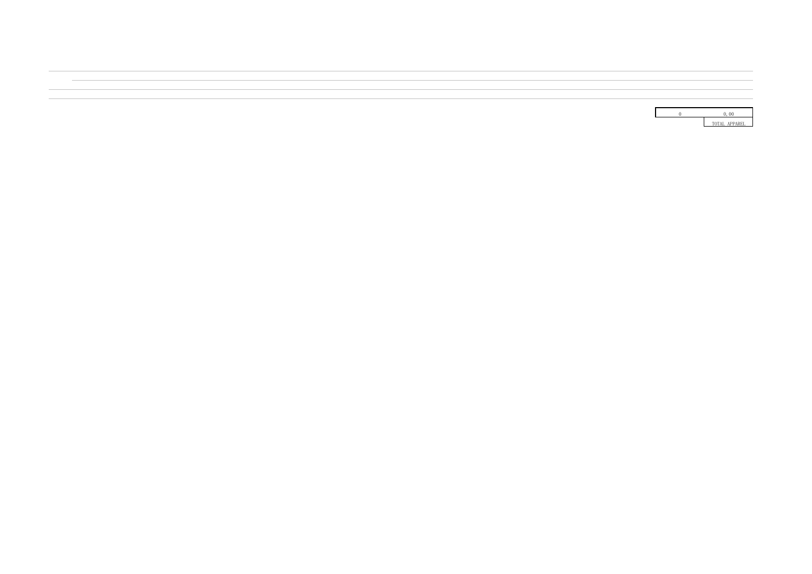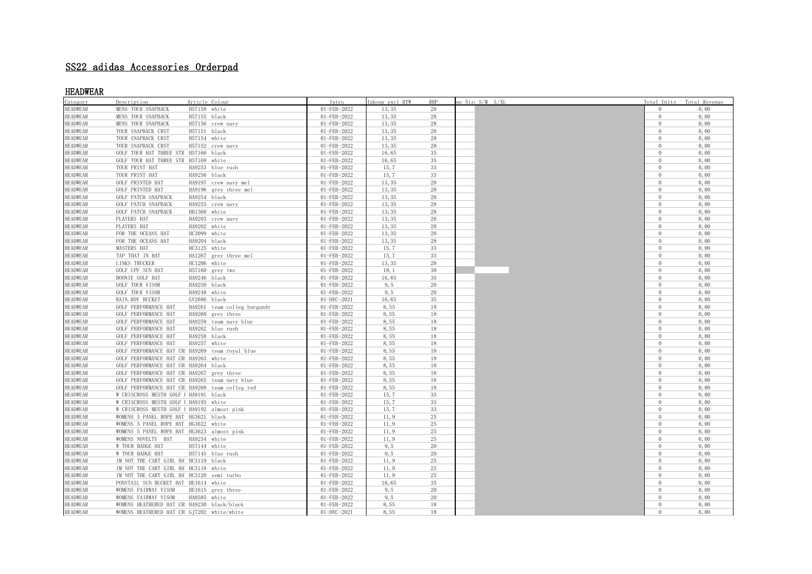# SS22 adidas Accessories Orderpad

## HEADWEAR

| Category        | Description                                 | Article Colour                                 | Intro       | Inkoop excl BTW | <b>RRP</b>  | ne Size S/M L/XL |                | Total Units Total Revenue |
|-----------------|---------------------------------------------|------------------------------------------------|-------------|-----------------|-------------|------------------|----------------|---------------------------|
| <b>HEADWEAR</b> | MENS TOUR SNAPBACK                          | H57158 white                                   | 01-FEB-2022 | 13, 35          | 28          |                  | $\Omega$       | 0,00                      |
| <b>HEADWEAR</b> | MENS TOUR SNAPBACK                          | H57155 black                                   | 01-FEB-2022 | 13, 35          | 28          |                  | $\Omega$       | 0,00                      |
| <b>HEADWEAR</b> | MENS TOUR SNAPBACK                          | H57156 crew navy                               | 01-FEB-2022 | 13, 35          | 28          |                  | $\overline{0}$ | 0,00                      |
| <b>HEADWEAR</b> | TOUR SNAPBACK CRST                          | H57151 black                                   | 01-FEB-2022 | 13, 35          | 28          |                  | $\overline{0}$ | 0,00                      |
| <b>HEADWEAR</b> | TOUR SNAPBACK CRST                          | H57154 white                                   | 01-FEB-2022 | 13, 35          | 28          |                  | $\overline{0}$ | 0,00                      |
| <b>HEADWEAR</b> | TOUR SNAPBACK CRST                          | H57152 crew navy                               | 01-FEB-2022 | 13, 35          | 28          |                  | $\overline{0}$ | 0,00                      |
| <b>HEADWEAR</b> | GOLF TOUR HAT THREE STR H57166 black        |                                                | 01-FEB-2022 | 16,65           | 35          |                  | $\overline{0}$ | 0,00                      |
| <b>HEADWEAR</b> | GOLF TOUR HAT THREE STR H57169 white        |                                                | 01-FEB-2022 | 16,65           | 35          |                  | $\overline{0}$ | 0,00                      |
| <b>HEADWEAR</b> | TOUR PRINT HAT                              | HA9253 blue rush                               | 01-FEB-2022 | 15,7            | 33          |                  | $\overline{0}$ | 0,00                      |
| <b>HEADWEAR</b> | TOUR PRINT HAT                              | HA9256 black                                   | 01-FEB-2022 | 15,7            | 33          |                  | $\overline{0}$ | 0,00                      |
| <b>HEADWEAR</b> | <b>GOLF PRINTED HAT</b>                     | HA9197 crew navy mel                           | 01-FEB-2022 | 13, 35          | 28          |                  | $\overline{0}$ | 0,00                      |
| <b>HEADWEAR</b> | GOLF PRINTED HAT                            | HA9196 grey three mel                          | 01-FEB-2022 | 13, 35          | 28          |                  | $\overline{0}$ | 0,00                      |
| <b>HEADWEAR</b> | GOLF PATCH SNAPBACK                         | HA9254 black                                   | 01-FEB-2022 | 13, 35          | $\sqrt{28}$ |                  | $\overline{0}$ | 0,00                      |
| <b>HEADWEAR</b> | GOLF PATCH SNAPBACK                         | HA9255 crew navy                               | 01-FEB-2022 | 13, 35          | 28          |                  | $\overline{0}$ | 0,00                      |
| <b>HEADWEAR</b> | <b>GOLF PATCH SNAPBACK</b>                  | HB1360 white                                   | 01-FEB-2022 | 13, 35          | 28          |                  | $\overline{0}$ | 0,00                      |
| <b>HEADWEAR</b> | PLAYERS HAT                                 | HA9203 crew navy                               | 01-FEB-2022 | 13, 35          | 28          |                  | $\overline{0}$ | 0,00                      |
| <b>HEADWEAR</b> | PLAYERS HAT                                 | HA9202 white                                   | 01-FEB-2022 | 13, 35          | 28          |                  | $\overline{0}$ | 0,00                      |
| <b>HEADWEAR</b> | FOR THE OCEANS HAT                          | HC3099 white                                   | 01-FEB-2022 | 13, 35          | 28          |                  | $\Omega$       | 0,00                      |
| <b>HEADWEAR</b> | FOR THE OCEANS HAT                          | HA9204 black                                   | 01-FEB-2022 | 13, 35          | 28          |                  | $\overline{0}$ | 0,00                      |
| <b>HEADWEAR</b> | MASTERS HAT                                 | HC3125 white                                   | 01-FEB-2022 | 15,7            | 33          |                  | $\overline{0}$ | 0,00                      |
| <b>HEADWEAR</b> | TAP THAT IN HAT                             | HA1267 grey three mel                          | 01-FEB-2022 | 15.7            | 33          |                  | $\overline{0}$ | 0,00                      |
| <b>HEADWEAR</b> | LINKS TRUCKER                               | HC1206 white                                   | 01-FEB-2022 | 13, 35          | 28          |                  | $\overline{0}$ | 0,00                      |
| <b>HEADWEAR</b> | <b>GOLF UPF SUN HAT</b>                     | H57160 grey two                                | 01-FEB-2022 | 18, 1           | 38          |                  | $\overline{0}$ | 0,00                      |
| <b>HEADWEAR</b> | BOONIE GOLF HAT                             | HA9246 black                                   | 01-FEB-2022 | 16,65           | 35          |                  | $\overline{0}$ | 0,00                      |
| <b>HEADWEAR</b> | GOLF TOUR VISOR                             | HA9250 black                                   | 01-FEB-2022 | 9, 5            | 20          |                  | $\overline{0}$ | 0,00                      |
| <b>HEADWEAR</b> | GOLF TOUR VISOR                             | HA9248 white                                   | 01-FEB-2022 | 9, 5            | 20          |                  | $\overline{0}$ | 0,00                      |
| <b>HEADWEAR</b> | RAIN. RDY BUCKET                            | GV2686 black                                   | 01-DEC-2021 | 16,65           | 35          |                  | $\overline{0}$ | 0,00                      |
| <b>HEADWEAR</b> | GOLF PERFORMANCE HAT                        | HA9261 team colleg burgundy                    | 01-FEB-2022 | 8,55            | 18          |                  | $\overline{0}$ | 0,00                      |
| <b>HEADWEAR</b> | GOLF PERFORMANCE HAT                        | HA9260 grey three                              | 01-FEB-2022 | 8,55            | 18          |                  | $\overline{0}$ | 0,00                      |
| <b>HEADWEAR</b> | GOLF PERFORMANCE HAT                        | HA9259 team navy blue                          | 01-FEB-2022 | 8,55            | 18          |                  | $\overline{0}$ | 0,00                      |
| <b>HEADWEAR</b> | GOLF PERFORMANCE HAT                        | HA9262 blue rush                               | 01-FEB-2022 | 8,55            | 18          |                  | $\overline{0}$ | 0,00                      |
| <b>HEADWEAR</b> | GOLF PERFORMANCE HAT                        | HA9258 black                                   | 01-FEB-2022 | 8,55            | 18          |                  | $\overline{0}$ | 0,00                      |
| <b>HEADWEAR</b> | GOLF PERFORMANCE HAT                        | HA9257 white                                   | 01-FEB-2022 | 8,55            | 18          |                  | $\overline{0}$ | 0,00                      |
| <b>HEADWEAR</b> |                                             | GOLF PERFORMANCE HAT CR HA9269 team royal blue | 01-FEB-2022 | 8,55            | 18          |                  | $\overline{0}$ | 0,00                      |
| <b>HEADWEAR</b> | GOLF PERFORMANCE HAT CR HA9263 white        |                                                | 01-FEB-2022 | 8,55            | 18          |                  | $\overline{0}$ | 0,00                      |
| <b>HEADWEAR</b> | GOLF PERFORMANCE HAT CR HA9264 black        |                                                | 01-FEB-2022 | 8,55            | 18          |                  | $\overline{0}$ | 0,00                      |
| <b>HEADWEAR</b> | GOLF PERFORMANCE HAT CR HA9267 grey three   |                                                | 01-FEB-2022 | 8,55            | 18          |                  | $\overline{0}$ | 0,00                      |
| <b>HEADWEAR</b> |                                             | GOLF PERFORMANCE HAT CR HA9265 team navy blue  | 01-FEB-2022 | 8,55            | 18          |                  | $\overline{0}$ | 0,00                      |
| <b>HEADWEAR</b> |                                             | GOLF PERFORMANCE HAT CR HA9268 team colleg red | 01-FEB-2022 | 8,55            | 18          |                  | $\overline{0}$ | 0,00                      |
| <b>HEADWEAR</b> | W CRISCROSS MESTH GOLF   HA9191 black       |                                                | 01-FEB-2022 | 15,7            | 33          |                  | $\Omega$       | 0,00                      |
| <b>HEADWEAR</b> | W CRISCROSS MESTH GOLF   HA9193 white       |                                                | 01-FEB-2022 | 15,7            | 33          |                  | $\overline{0}$ | 0,00                      |
| <b>HEADWEAR</b> | W CRISCROSS MESTH GOLF   HA9192 almost pink |                                                | 01-FEB-2022 | 15,7            | 33          |                  | $\overline{0}$ | 0,00                      |
| <b>HEADWEAR</b> | WOMENS 5 PANEL ROPE HAT HG3621 black        |                                                | 01-FEB-2022 | 11.9            | 25          |                  | $\overline{0}$ | 0,00                      |
| <b>HEADWEAR</b> | WOMENS 5 PANEL ROPE HAT HG3622 white        |                                                | 01-FEB-2022 | 11, 9           | 25          |                  | $\overline{0}$ | 0,00                      |
| <b>HEADWEAR</b> | WOMENS 5 PANEL ROPE HAT HG3623 almost pink  |                                                | 01-FEB-2022 | 11, 9           | 25          |                  | $\overline{0}$ | 0,00                      |
| <b>HEADWEAR</b> | WOMENS NOVELTY HAT                          | HA9234 white                                   | 01-FEB-2022 | 11, 9           | 25          |                  | $\overline{0}$ | 0,00                      |
| <b>HEADWEAR</b> | W TOUR BADGE HAT                            | H57144 white                                   | 01-FEB-2022 | 9, 5            | 20          |                  | $\Omega$       | 0,00                      |
| <b>HEADWEAR</b> | W TOUR BADGE HAT                            | H57145 blue rush                               | 01-FEB-2022 | 9, 5            | 20          |                  | $\overline{0}$ | 0,00                      |
| <b>HEADWEAR</b> | IM NOT THE CART GIRL HA' HC3119 black       |                                                | 01-FEB-2022 | 11, 9           | 25          |                  | $\overline{0}$ | 0,00                      |
| <b>HEADWEAR</b> | IM NOT THE CART GIRL HA HC3118 white        |                                                | 01-FEB-2022 | 11, 9           | 25          |                  | $\overline{0}$ | 0,00                      |
| <b>HEADWEAR</b> | IM NOT THE CART GIRL HA HC3120 semi turbo   |                                                | 01-FEB-2022 | 11.9            | 25          |                  | $\overline{0}$ | 0,00                      |
| <b>HEADWEAR</b> | PONYTAIL SUN BUCKET HAT HE1614 white        |                                                | 01-FEB-2022 | 16,65           | 35          |                  | $\overline{0}$ | 0,00                      |
| <b>HEADWEAR</b> | WOMENS FAIRWAY VISOR                        | HE1615 grey three                              | 01-FEB-2022 | 9, 5            | 20          |                  | $\overline{0}$ | 0,00                      |
| <b>HEADWEAR</b> | WOMENS FAIRWAY VISOR                        | HA0585 white                                   | 01-FEB-2022 | 9, 5            | 20          |                  | $\overline{0}$ | 0,00                      |
| <b>HEADWEAR</b> | WOMENS HEATHERED HAT CR HA9230 black/black  |                                                | 01-FEB-2022 | 8,55            | 18          |                  | $\overline{0}$ | 0,00                      |
| <b>HEADWEAR</b> | WOMENS HEATHERED HAT CR GJ7202 white/white  |                                                | 01-DEC-2021 | 8,55            | 18          |                  | $\Omega$       | 0,00                      |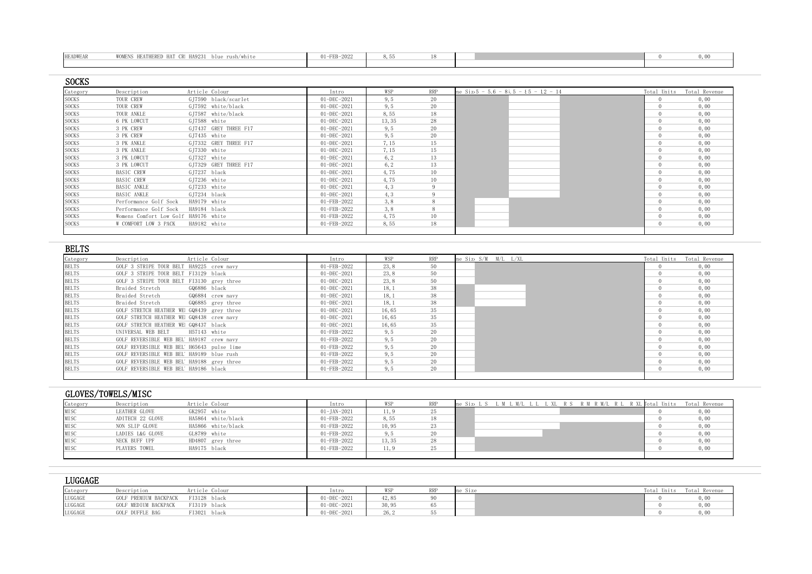| <b>HEADWEAR</b> | WOMENS HEATHERED HAT CR HA9231 blue rush/white | 01-FEB-2022 |  |  |  |
|-----------------|------------------------------------------------|-------------|--|--|--|
|                 |                                                |             |  |  |  |

| <b>SOCKS</b> |                                      |                       |                   |        |            |                                                |                             |
|--------------|--------------------------------------|-----------------------|-------------------|--------|------------|------------------------------------------------|-----------------------------|
| Category     | Description                          | Article Colour        | Intro             | WSP    | <b>RRP</b> | me $\text{Siz}(5 - 5.6 - 8), 5 - 15 - 12 - 14$ | Total Units - Total Revenue |
| <b>SOCKS</b> | TOUR CREW                            | GJ7590 black/scarlet  | 01-DEC-2021       | 9, 5   | 20         |                                                | 0,00                        |
| <b>SOCKS</b> | TOUR CREW                            | GJ7592 white/black    | $01 - DEC - 2021$ | 9, 5   | 20         |                                                | 0,00                        |
| <b>SOCKS</b> | TOUR ANKLE                           | GI7587 white/black    | $01 - DEC - 2021$ | 8,55   | 18         |                                                | 0,00                        |
| <b>SOCKS</b> | 6 PK LOWCUT                          | GJ7588 white          | $01 - DEC - 2021$ | 13, 35 | 28         |                                                | 0,00                        |
| <b>SOCKS</b> | 3 PK CREW                            | GJ7437 GREY THREE F17 | 01-DEC-2021       | 9, 5   | 20         |                                                | 0,00                        |
| <b>SOCKS</b> | 3 PK CREW                            | GI7435 white          | $01 - DEC - 2021$ | 9, 5   | 20         |                                                | 0,00                        |
| <b>SOCKS</b> | 3 PK ANKLE                           | GJ7332 GREY THREE F17 | 01-DEC-2021       | 7, 15  | 15         |                                                | 0,00                        |
| <b>SOCKS</b> | 3 PK ANKLE                           | GJ7330 white          | $01 - DEC - 2021$ | 7.15   | 15         |                                                | 0,00                        |
| <b>SOCKS</b> | 3 PK LOWCUT                          | GJ7327 white          | $01 - DEC - 2021$ | 6, 2   | 13         |                                                | 0,00                        |
| <b>SOCKS</b> | 3 PK LOWCUT                          | GI7329 GREY THREE F17 | $01 - DEC - 2021$ | 6, 2   | 13         |                                                | 0,00                        |
| <b>SOCKS</b> | BASIC CREW                           | GJ7237 black          | 01-DEC-2021       | 4,75   | 10         |                                                | 0,00                        |
| <b>SOCKS</b> | BASIC CREW                           | GJ7236 white          | $01 - DEC - 2021$ | 4,75   | 10         |                                                | 0,00                        |
| <b>SOCKS</b> | BASIC ANKLE                          | GJ7233 white          | $01 - DEC - 2021$ | 4, 3   |            |                                                | 0,00                        |
| <b>SOCKS</b> | BASIC ANKLE                          | GI7234 black          | $01 - DEC - 2021$ | 4.3    |            |                                                | 0,00                        |
| <b>SOCKS</b> | Performance Golf Sock                | HA9179 white          | 01-FEB-2022       | 3,8    |            |                                                | 0,00                        |
| <b>SOCKS</b> | Performance Golf Sock                | HA9184 black          | 01-FEB-2022       | 3,8    |            |                                                | 0,00                        |
| <b>SOCKS</b> | Womens Comfort Low Golf HA9176 white |                       | 01-FEB-2022       | 4,75   | 10         |                                                | 0,00                        |
| <b>SOCKS</b> | W COMFORT LOW 3 PACK                 | HA9182 white          | 01-FEB-2022       | 8,55   | 18         |                                                | 0,00                        |
|              |                                      |                       |                   |        |            |                                                |                             |

| <b>BELTS</b> |                                            |              |                   |                   |       |     |                      |  |                           |
|--------------|--------------------------------------------|--------------|-------------------|-------------------|-------|-----|----------------------|--|---------------------------|
| Category     | Description                                |              | Article Colour    | Intro             | WSP   | RRP | ne Size S/M M/L L/XL |  | Total Units Total Revenue |
| <b>BELTS</b> | GOLF 3 STRIPE TOUR BELT HA9225 crew navy   |              |                   | 01-FEB-2022       | 23.8  | 50  |                      |  | 0,00                      |
| <b>BELTS</b> | GOLF 3 STRIPE TOUR BELT FI3129 black       |              |                   | $01 - DEC - 2021$ | 23, 8 | 50  |                      |  | 0,00                      |
| <b>BELTS</b> | GOLF 3 STRIPE TOUR BELT FI3130 grey three  |              |                   | 01-DEC-2021       | 23.8  | 50  |                      |  | 0,00                      |
| <b>BELTS</b> | Braided Stretch                            | GQ6886 black |                   | $01 - DEC - 2021$ | 18, 1 | 38  |                      |  | 0,00                      |
| <b>BELTS</b> | Braided Stretch                            |              | GQ6884 crew navy  | $01 - DEC - 2021$ | 18, 1 | 38  |                      |  | 0,00                      |
| <b>BELTS</b> | Braided Stretch                            |              | GQ6885 grey three | $01 - DEC - 2021$ | 18, 1 | 38  |                      |  | 0,00                      |
| <b>BELTS</b> | GOLF STRETCH HEATHER WE GQ8439 grey three  |              |                   | $01 - DEC - 2021$ | 16,65 | 35  |                      |  | 0,00                      |
| <b>BELTS</b> | GOLF STRETCH HEATHER WE GQ8438 crew navy   |              |                   | $01 - DEC - 2021$ | 16,65 | 35  |                      |  | 0,00                      |
| <b>BELTS</b> | GOLF STRETCH HEATHER WE GQ8437 black       |              |                   | $01 - DEC - 2021$ | 16,65 | 35  |                      |  | 0,00                      |
| <b>BELTS</b> | UNIVERSAL WEB BELT                         | H57143 white |                   | 01-FEB-2022       | 9, 5  | 20  |                      |  | 0,00                      |
| <b>BELTS</b> | GOLF REVERSIBLE WEB BEL' HA9187 crew navy  |              |                   | 01-FEB-2022       | 9, 5  | 20  |                      |  | 0,00                      |
| <b>BELTS</b> | GOLF REVERSIBLE WEB BEL' H65643 pulse lime |              |                   | 01-FEB-2022       | 9, 5  | 20  |                      |  | 0,00                      |
| <b>BELTS</b> | GOLF REVERSIBLE WEB BEL' HA9189 blue rush  |              |                   | 01-FEB-2022       | 9, 5  | 20  |                      |  | 0,00                      |
| <b>BELTS</b> | GOLF REVERSIBLE WEB BEL' HA9188 grey three |              |                   | 01-FEB-2022       | 9, 5  | 20  |                      |  | 0,00                      |
| <b>BELTS</b> | GOLF REVERSIBLE WEB BEL' HA9186 black      |              |                   | 01-FEB-2022       | 9.5   | 20  |                      |  | 0,00                      |
|              |                                            |              |                   |                   |       |     |                      |  |                           |

|          | GLOVES/TOWELS/MISC |                    |                   |        |    |                     |                        |
|----------|--------------------|--------------------|-------------------|--------|----|---------------------|------------------------|
| Category | Description        | Article Colour     | Intro             |        |    | R M/L<br>R XL Fotal | Total Revenue<br>Units |
| MISC     | LEATHER GLOVE      | GK2957 white       | $01 - JAN - 2021$ | l 1, 9 | 25 |                     | 0,00                   |
| MISC     | ADITECH 22 GLOVE   | HA5864 white/black | 01-FEB-2022       | 8,55   | 18 |                     | 0,00                   |
| MISC     | NON SLIP GLOVE     | HA5866 white/black | 01-FEB-2022       | 10.95  | 23 |                     | 0,00                   |
| MISC     | LADIES L&G GLOVE   | GL8789 white       | 01-FEB-2022       | 9. b   | 20 |                     | 0,00                   |
| MISC     | NECK BUFF UPF      | HD4807 grey three  | 01-FEB-2022       | 13, 35 | 28 |                     | 0,00                   |
| MISC     | PLAYERS TOWEL      | HA9175 black       | 01-FEB-2022       | 11.9   | 25 |                     | 0,00                   |
|          |                    |                    |                   |        |    |                     |                        |

| LUGGAGE  |                       |              |             |        |     |         |  |  |
|----------|-----------------------|--------------|-------------|--------|-----|---------|--|--|
| Category | escription            | cle Colour   | Intro       |        | DDE | Name of |  |  |
| LUGGAGE  | GOLF PREMIUM BACKPACK | FI3128 black | 01-DEC-2021 | 42, 85 |     |         |  |  |
| LUGGAGE  | GOLF MEDIUM BACKPACK  | FI3119 black | 01-DEC-2021 | 30.95  |     |         |  |  |
| LUGGAGE  | GOLF DUFFLE BAG       | FI3021 black | 01-DEC-2021 | 26, Z  |     |         |  |  |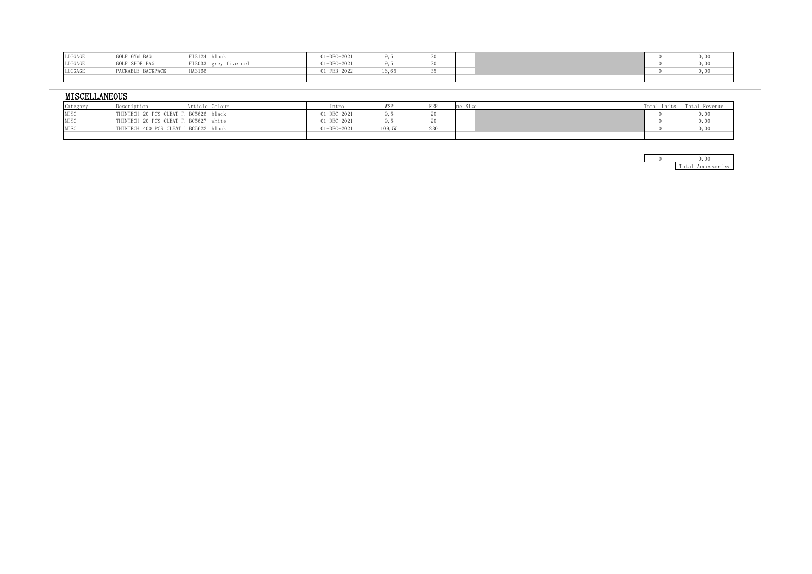| LUGGAGE | GOLF GYM BAG      | FI3124 black                       | 01-DEC-2021 |  |  |  |
|---------|-------------------|------------------------------------|-------------|--|--|--|
| LUGGAGE |                   | GOLF SHOE BAG FI3033 grey five mel | 01-DEC-2021 |  |  |  |
| LUGGAGE | PACKABLE BACKPACK | HA3166                             | 01-FEB-2022 |  |  |  |
|         |                   |                                    |             |  |  |  |

## **MISCELLANEOUS**

| Category | Description                           | Article Colour | Intro       |       | $\sim$ 1.00 $\sim$<br>,,,, | Units | Revenue |
|----------|---------------------------------------|----------------|-------------|-------|----------------------------|-------|---------|
| MISO     | THINTECH 20 PCS CLEAT P. BC5626 black |                | 1-DEC-2021  |       |                            |       |         |
| MI SO    | THINTECH 20 PCS CLEAT P. BC5627 white |                | J1-DEC-2021 |       |                            |       |         |
| MIS      | THINTECH 400 PCS CLEAT   BC5622 black |                | $-DEC-2021$ | ט, טי |                            |       |         |
|          |                                       |                |             |       |                            |       |         |

|  | $T_{\alpha+a+1}$ | Accessories |
|--|------------------|-------------|